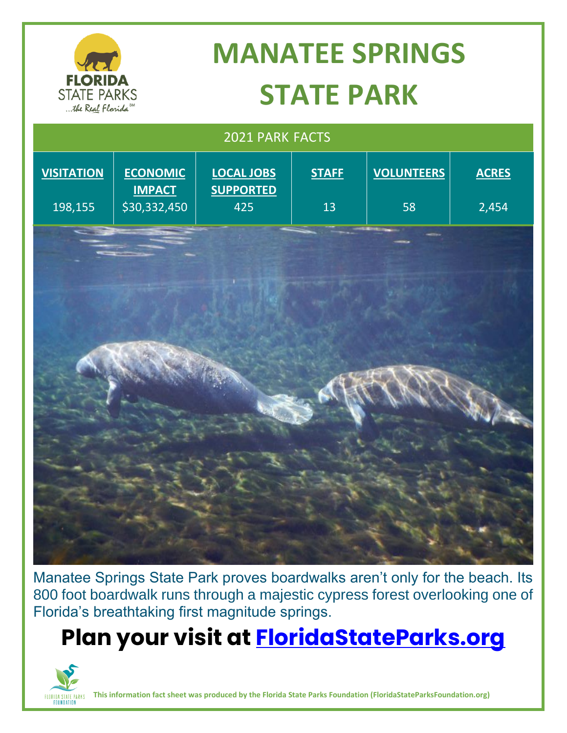

# **MANATEE SPRINGS STATE PARK**

| 2021 PARK FACTS   |                                  |                                       |              |                   |              |
|-------------------|----------------------------------|---------------------------------------|--------------|-------------------|--------------|
| <b>VISITATION</b> | <b>ECONOMIC</b><br><b>IMPACT</b> | <b>LOCAL JOBS</b><br><b>SUPPORTED</b> | <b>STAFF</b> | <b>VOLUNTEERS</b> | <b>ACRES</b> |
| 198,155           | \$30,332,450                     | 425                                   | 13           | 58                | 2,454        |
|                   |                                  |                                       |              |                   |              |
|                   |                                  |                                       |              |                   |              |
|                   |                                  |                                       |              |                   |              |
|                   |                                  |                                       |              |                   |              |

Manatee Springs State Park proves boardwalks aren't only for the beach. Its 800 foot boardwalk runs through a majestic cypress forest overlooking one of Florida's breathtaking first magnitude springs.

### **Plan your visit at<FloridaStateParks.org>**



**This information fact sheet was produced by the Florida State Parks Foundation (FloridaStateParksFoundation.org)**